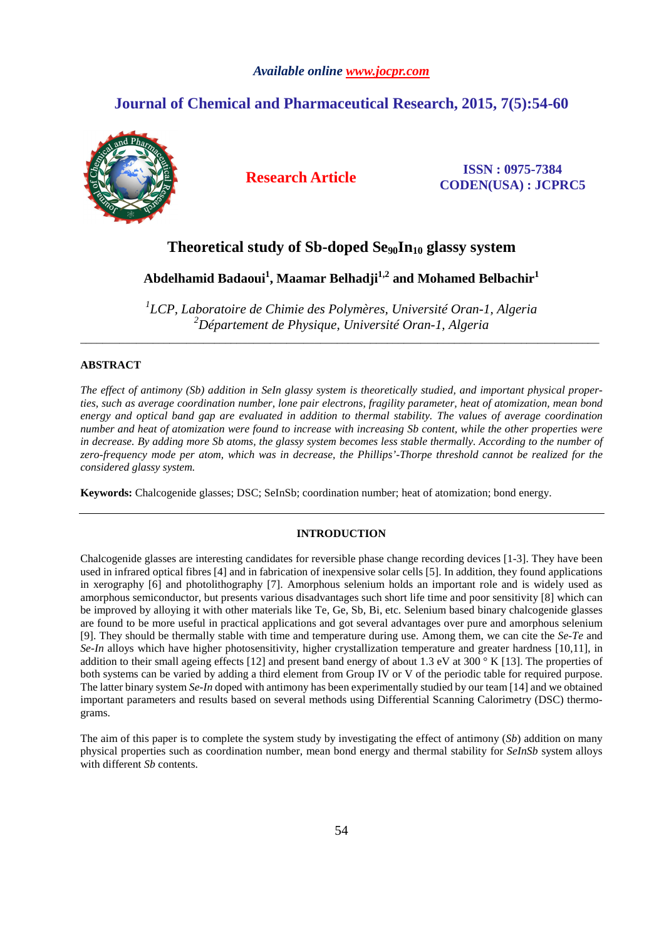## *Available online www.jocpr.com*

# **Journal of Chemical and Pharmaceutical Research, 2015, 7(5):54-60**



**Research Article ISSN : 0975-7384 CODEN(USA) : JCPRC5**

# **Theoretical study of Sb-doped Se90In10 glassy system**

**Abdelhamid Badaoui<sup>1</sup> , Maamar Belhadji1,2 and Mohamed Belbachir<sup>1</sup>**

<sup>1</sup>LCP, Laboratoire de Chimie des Polymères, Université Oran-1, Algeria *<sup>2</sup>Département de Physique, Université Oran-1, Algeria* \_\_\_\_\_\_\_\_\_\_\_\_\_\_\_\_\_\_\_\_\_\_\_\_\_\_\_\_\_\_\_\_\_\_\_\_\_\_\_\_\_\_\_\_\_\_\_\_\_\_\_\_\_\_\_\_\_\_\_\_\_\_\_\_\_\_\_\_\_\_\_\_\_\_\_\_\_\_\_\_\_\_\_\_\_\_\_\_\_\_\_\_\_

## **ABSTRACT**

*The effect of antimony (Sb) addition in SeIn glassy system is theoretically studied, and important physical properties, such as average coordination number, lone pair electrons, fragility parameter, heat of atomization, mean bond energy and optical band gap are evaluated in addition to thermal stability. The values of average coordination number and heat of atomization were found to increase with increasing Sb content, while the other properties were in decrease. By adding more Sb atoms, the glassy system becomes less stable thermally. According to the number of zero-frequency mode per atom, which was in decrease, the Phillips'-Thorpe threshold cannot be realized for the considered glassy system.* 

**Keywords:** Chalcogenide glasses; DSC; SeInSb; coordination number; heat of atomization; bond energy.

# **INTRODUCTION**

Chalcogenide glasses are interesting candidates for reversible phase change recording devices [1-3]. They have been used in infrared optical fibres [4] and in fabrication of inexpensive solar cells [5]. In addition, they found applications in xerography [6] and photolithography [7]. Amorphous selenium holds an important role and is widely used as amorphous semiconductor, but presents various disadvantages such short life time and poor sensitivity [8] which can be improved by alloying it with other materials like Te, Ge, Sb, Bi, etc. Selenium based binary chalcogenide glasses are found to be more useful in practical applications and got several advantages over pure and amorphous selenium [9]. They should be thermally stable with time and temperature during use. Among them, we can cite the *Se-Te* and *Se-In* alloys which have higher photosensitivity, higher crystallization temperature and greater hardness [10,11], in addition to their small ageing effects [12] and present band energy of about 1.3 eV at 300  $\degree$  K [13]. The properties of both systems can be varied by adding a third element from Group IV or V of the periodic table for required purpose. The latter binary system *Se-In* doped with antimony has been experimentally studied by our team [14] and we obtained important parameters and results based on several methods using Differential Scanning Calorimetry (DSC) thermograms.

The aim of this paper is to complete the system study by investigating the effect of antimony (*Sb*) addition on many physical properties such as coordination number, mean bond energy and thermal stability for *SeInSb* system alloys with different *Sb* contents.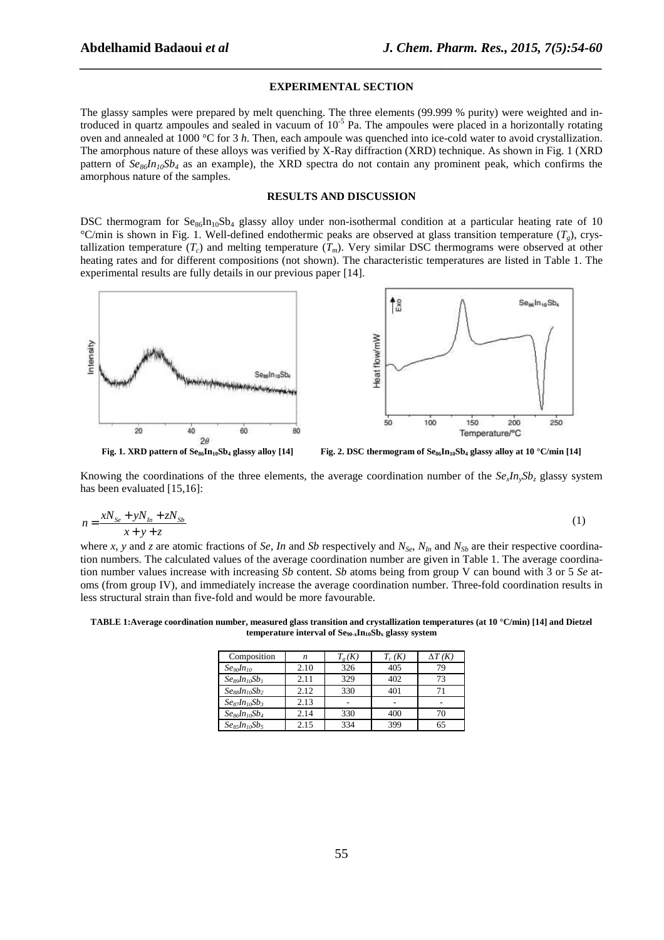#### **EXPERIMENTAL SECTION**

*\_\_\_\_\_\_\_\_\_\_\_\_\_\_\_\_\_\_\_\_\_\_\_\_\_\_\_\_\_\_\_\_\_\_\_\_\_\_\_\_\_\_\_\_\_\_\_\_\_\_\_\_\_\_\_\_\_\_\_\_\_\_\_\_\_\_\_\_\_\_\_\_\_\_\_\_\_\_*

The glassy samples were prepared by melt quenching. The three elements (99.999 % purity) were weighted and introduced in quartz ampoules and sealed in vacuum of 10-5 Pa. The ampoules were placed in a horizontally rotating oven and annealed at 1000 °C for 3 *h*. Then, each ampoule was quenched into ice-cold water to avoid crystallization. The amorphous nature of these alloys was verified by X-Ray diffraction (XRD) technique. As shown in Fig. 1 (XRD pattern of  $S\mathcal{e}_{86}I\mathcal{h}_{10}S\mathcal{b}_4$  as an example), the XRD spectra do not contain any prominent peak, which confirms the amorphous nature of the samples.

### **RESULTS AND DISCUSSION**

DSC thermogram for  $Se_{86}In_{10}Sb_4$  glassy alloy under non-isothermal condition at a particular heating rate of 10 °C/min is shown in Fig. 1. Well-defined endothermic peaks are observed at glass transition temperature (*Tg*), crystallization temperature  $(T_c)$  and melting temperature  $(T_m)$ . Very similar DSC thermograms were observed at other heating rates and for different compositions (not shown). The characteristic temperatures are listed in Table 1. The experimental results are fully details in our previous paper [14].



Knowing the coordinations of the three elements, the average coordination number of the  $Se_{\rm r}In_{\rm v}Sb_{\rm z}$  glassy system has been evaluated [15,16]:

$$
n = \frac{xN_{Se} + yN_{In} + zN_{Sb}}{x + y + z} \tag{1}
$$

where *x*, *y* and *z* are atomic fractions of *Se*, *In* and *Sb* respectively and  $N_{Se}$ ,  $N_{In}$  and  $N_{Sb}$  are their respective coordination numbers. The calculated values of the average coordination number are given in Table 1. The average coordination number values increase with increasing *Sb* content. *Sb* atoms being from group V can bound with 3 or 5 *Se* atoms (from group IV), and immediately increase the average coordination number. Three-fold coordination results in less structural strain than five-fold and would be more favourable.

**TABLE 1:Average coordination number, measured glass transition and crystallization temperatures (at 10 °C/min) [14] and Dietzel temperature interval of Se90-xIn10Sbx glassy system** 

| Composition                                          | n    | $\iota_{g}(K)$ | $T_c(K)$ | $\Delta T$ (K) |
|------------------------------------------------------|------|----------------|----------|----------------|
| Se <sub>90</sub> In <sub>10</sub>                    | 2.10 | 326            | 405      | 79             |
| $Se_8$ <sub>a</sub> $n_{10}$ Sb <sub>1</sub>         | 2.11 | 329            | 402      | 73             |
| $Se_8$ <i>In</i> <sub>10</sub> $Sb_2$                | 2.12 | 330            | 401      |                |
| $Se_8$ <sub>7</sub> $In_{10}Sb_3$                    | 2.13 |                |          |                |
| $Se_8$ <i>In</i> <sub>10</sub> <i>Sb<sub>4</sub></i> | 2.14 | 330            | 400      | 70             |
| $Se_8$ , $In_{10}Sb_5$                               | 2.15 | 334            | 399      | 65             |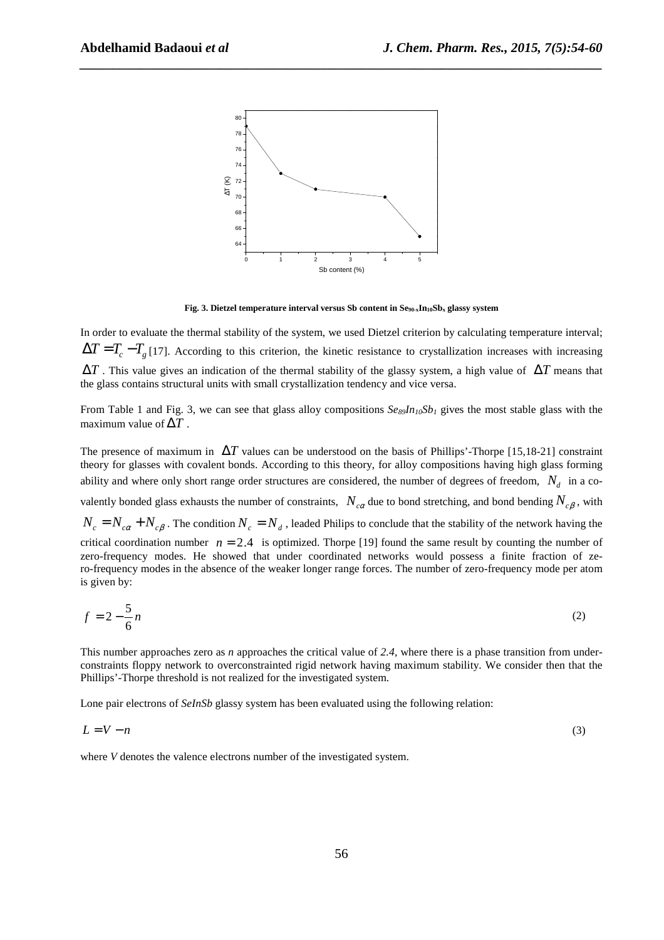

*\_\_\_\_\_\_\_\_\_\_\_\_\_\_\_\_\_\_\_\_\_\_\_\_\_\_\_\_\_\_\_\_\_\_\_\_\_\_\_\_\_\_\_\_\_\_\_\_\_\_\_\_\_\_\_\_\_\_\_\_\_\_\_\_\_\_\_\_\_\_\_\_\_\_\_\_\_\_*

**Fig. 3. Dietzel temperature interval versus Sb content in Se90-xIn10Sbx glassy system** 

In order to evaluate the thermal stability of the system, we used Dietzel criterion by calculating temperature interval;  $\Delta T = T_c - T_g$  [17]. According to this criterion, the kinetic resistance to crystallization increases with increasing ∆*T* . This value gives an indication of the thermal stability of the glassy system, a high value of ∆*T* means that the glass contains structural units with small crystallization tendency and vice versa.

From Table 1 and Fig. 3, we can see that glass alloy compositions  $S_{\ell s_0}I_{l_10}S_{l_1}$  gives the most stable glass with the maximum value of  $\Delta T$ .

The presence of maximum in ∆*T* values can be understood on the basis of Phillips'-Thorpe [15,18-21] constraint theory for glasses with covalent bonds. According to this theory, for alloy compositions having high glass forming ability and where only short range order structures are considered, the number of degrees of freedom,  $N_d$  in a co-

valently bonded glass exhausts the number of constraints,  $N_{c\alpha}$  due to bond stretching, and bond bending  $N_{c\beta}$ , with

 $N_c = N_{c\alpha} + N_{c\beta}$ . The condition  $N_c = N_d$ , leaded Philips to conclude that the stability of the network having the critical coordination number  $n = 2.4$  is optimized. Thorpe [19] found the same result by counting the number of zero-frequency modes. He showed that under coordinated networks would possess a finite fraction of zero-frequency modes in the absence of the weaker longer range forces. The number of zero-frequency mode per atom is given by:

$$
f = 2 - \frac{5}{6}n\tag{2}
$$

This number approaches zero as *n* approaches the critical value of 2.4, where there is a phase transition from underconstraints floppy network to overconstrainted rigid network having maximum stability. We consider then that the Phillips'-Thorpe threshold is not realized for the investigated system.

Lone pair electrons of *SeInSb* glassy system has been evaluated using the following relation:

$$
L = V - n \tag{3}
$$

where *V* denotes the valence electrons number of the investigated system.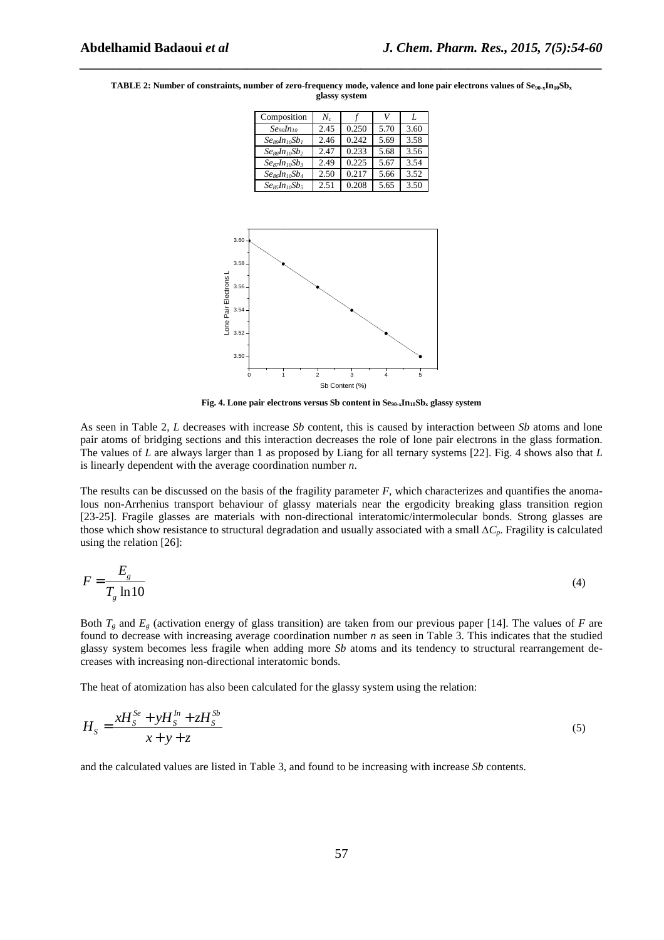| Composition                                    | $N_c$ |       |      |      |
|------------------------------------------------|-------|-------|------|------|
| Se <sub>90</sub> In <sub>10</sub>              | 2.45  | 0.250 | 5.70 | 3.60 |
| Se89In10Sb1                                    | 2.46  | 0.242 | 5.69 | 3.58 |
| $Se_{\text{ss}}In_{\text{10}}Sb_{\text{2}}$    | 2.47  | 0.233 | 5.68 | 3.56 |
| $Se_8$ <sub>7</sub> $In_1$ <sub>0</sub> $Sb_3$ | 2.49  | 0.225 | 5.67 | 3.54 |
| $Se_8$ <i>dn</i> <sub>10</sub> $Sb_4$          | 2.50  | 0.217 | 5.66 | 3.52 |
| $Ses_{1}In_{10}Sb_{5}$                         | 2.51  | 0.208 | 5.65 | 3.50 |

**TABLE 2: Number of constraints, number of zero-frequency mode, valence and lone pair electrons values of Se90-xIn10Sb<sup>x</sup> glassy system** 

*\_\_\_\_\_\_\_\_\_\_\_\_\_\_\_\_\_\_\_\_\_\_\_\_\_\_\_\_\_\_\_\_\_\_\_\_\_\_\_\_\_\_\_\_\_\_\_\_\_\_\_\_\_\_\_\_\_\_\_\_\_\_\_\_\_\_\_\_\_\_\_\_\_\_\_\_\_\_*



**Fig. 4. Lone pair electrons versus Sb content in Se90-xIn10Sbx glassy system** 

As seen in Table 2, *L* decreases with increase *Sb* content, this is caused by interaction between *Sb* atoms and lone pair atoms of bridging sections and this interaction decreases the role of lone pair electrons in the glass formation. The values of *L* are always larger than 1 as proposed by Liang for all ternary systems [22]. Fig. 4 shows also that *L* is linearly dependent with the average coordination number *n*.

The results can be discussed on the basis of the fragility parameter *F*, which characterizes and quantifies the anomalous non-Arrhenius transport behaviour of glassy materials near the ergodicity breaking glass transition region [23-25]. Fragile glasses are materials with non-directional interatomic/intermolecular bonds. Strong glasses are those which show resistance to structural degradation and usually associated with a small *∆Cp*. Fragility is calculated using the relation [26]:

$$
F = \frac{E_g}{T_g \ln 10} \tag{4}
$$

Both  $T_g$  and  $E_g$  (activation energy of glass transition) are taken from our previous paper [14]. The values of *F* are found to decrease with increasing average coordination number *n* as seen in Table 3. This indicates that the studied glassy system becomes less fragile when adding more *Sb* atoms and its tendency to structural rearrangement decreases with increasing non-directional interatomic bonds.

The heat of atomization has also been calculated for the glassy system using the relation:

$$
H_{S} = \frac{xH_{S}^{S_{e}} + yH_{S}^{In} + zH_{S}^{S_{b}}}{x + y + z}
$$
\n(5)

and the calculated values are listed in Table 3, and found to be increasing with increase *Sb* contents.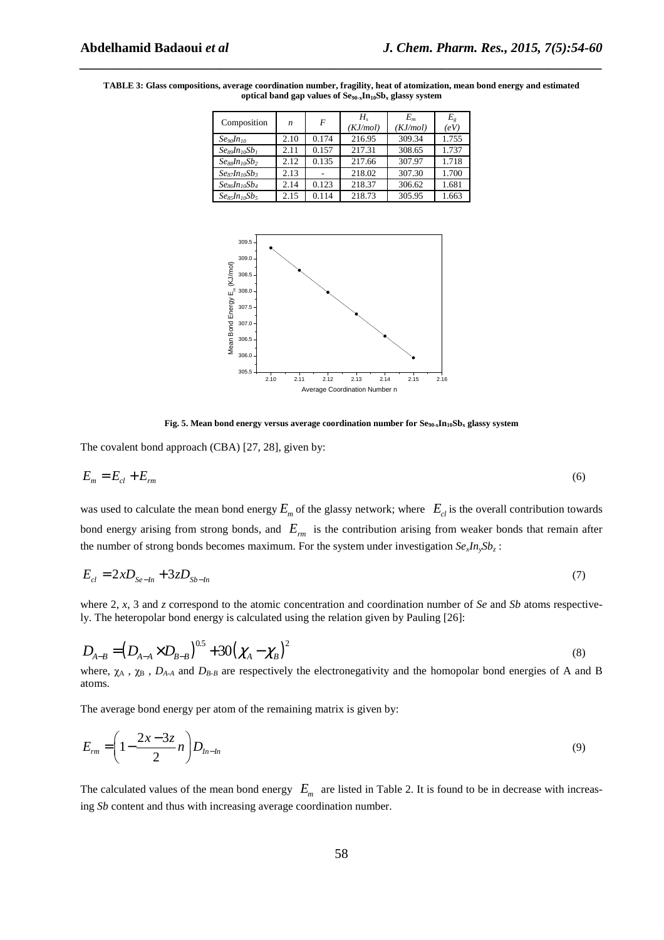| Composition                                           | $\boldsymbol{n}$ | F     | Н.<br>(KJ/mol) | $E_m$<br>(KJ/mol) | E,<br>(eV) |
|-------------------------------------------------------|------------------|-------|----------------|-------------------|------------|
| Se <sub>90</sub> In <sub>10</sub>                     | 2.10             | 0.174 | 216.95         | 309.34            | 1.755      |
| $Se_8$ <sub>a</sub> $n_{10}$ S $b_1$                  | 2.11             | 0.157 | 217.31         | 308.65            | 1.737      |
| $Se_8$ <i>In</i> <sub>10</sub> <i>Sb</i> <sub>2</sub> | 2.12             | 0.135 | 217.66         | 307.97            | 1.718      |
| $Se_8$ <sub>7</sub> $In_{10}Sb_3$                     | 2.13             |       | 218.02         | 307.30            | 1.700      |
| $Se86In10Sb4$                                         | 2.14             | 0.123 | 218.37         | 306.62            | 1.681      |
| $Se_8$ , $In_{10}Sb_5$                                | 2.15             | 0.114 | 218.73         | 305.95            | 1.663      |

*\_\_\_\_\_\_\_\_\_\_\_\_\_\_\_\_\_\_\_\_\_\_\_\_\_\_\_\_\_\_\_\_\_\_\_\_\_\_\_\_\_\_\_\_\_\_\_\_\_\_\_\_\_\_\_\_\_\_\_\_\_\_\_\_\_\_\_\_\_\_\_\_\_\_\_\_\_\_*

**TABLE 3: Glass compositions, average coordination number, fragility, heat of atomization, mean bond energy and estimated optical band gap values of Se90-xIn10Sbx glassy system** 



**Fig. 5. Mean bond energy versus average coordination number for**  $\text{Se}_{90x} \text{In}_{10} \text{Sb}_x$  **glassy system** 

The covalent bond approach (CBA) [27, 28], given by:

$$
E_m = E_{cl} + E_m \tag{6}
$$

was used to calculate the mean bond energy  $E_m$  of the glassy network; where  $E_c$  is the overall contribution towards bond energy arising from strong bonds, and *Erm* is the contribution arising from weaker bonds that remain after the number of strong bonds becomes maximum. For the system under investigation  $Se_x In_y Sb_z$ :

$$
E_{cl} = 2xD_{Se-In} + 3zD_{Sb-In}
$$
 (7)

where 2, *x*, 3 and *z* correspond to the atomic concentration and coordination number of *Se* and *Sb* atoms respectively. The heteropolar bond energy is calculated using the relation given by Pauling [26]:

$$
D_{A-B} = (D_{A-A} \times D_{B-B})^{0.5} + 30(\chi_A - \chi_B)^2
$$
\n(8)

where,  $\chi_A$ ,  $\chi_B$ ,  $D_{A-A}$  and  $D_{B-B}$  are respectively the electronegativity and the homopolar bond energies of A and B atoms.

The average bond energy per atom of the remaining matrix is given by:

$$
E_{rm} = \left(1 - \frac{2x - 3z}{2}n\right)D_{ln-ln} \tag{9}
$$

The calculated values of the mean bond energy  $E_m$  are listed in Table 2. It is found to be in decrease with increasing *Sb* content and thus with increasing average coordination number.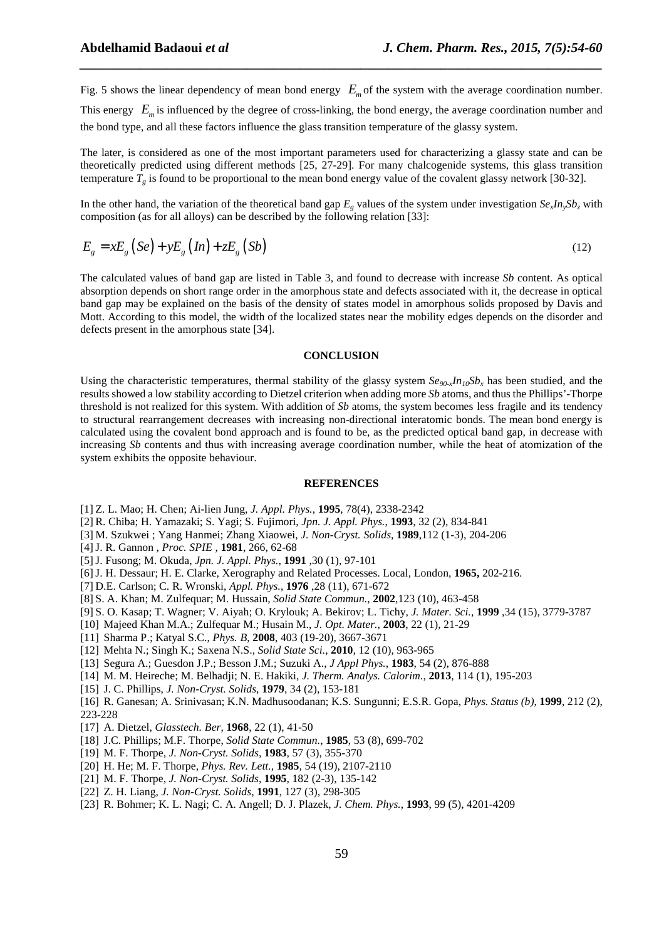Fig. 5 shows the linear dependency of mean bond energy  $E_m$  of the system with the average coordination number.

*\_\_\_\_\_\_\_\_\_\_\_\_\_\_\_\_\_\_\_\_\_\_\_\_\_\_\_\_\_\_\_\_\_\_\_\_\_\_\_\_\_\_\_\_\_\_\_\_\_\_\_\_\_\_\_\_\_\_\_\_\_\_\_\_\_\_\_\_\_\_\_\_\_\_\_\_\_\_*

This energy  $E_m$  is influenced by the degree of cross-linking, the bond energy, the average coordination number and the bond type, and all these factors influence the glass transition temperature of the glassy system.

The later, is considered as one of the most important parameters used for characterizing a glassy state and can be theoretically predicted using different methods [25, 27-29]. For many chalcogenide systems, this glass transition temperature  $T<sub>g</sub>$  is found to be proportional to the mean bond energy value of the covalent glassy network [30-32].

In the other hand, the variation of the theoretical band gap  $E_g$  values of the system under investigation  $Se_x In_y Sb_z$  with composition (as for all alloys) can be described by the following relation [33]:

$$
E_g = xE_g (Se) + yE_g (In) + zE_g (Sb)
$$
\n<sup>(12)</sup>

The calculated values of band gap are listed in Table 3, and found to decrease with increase *Sb* content. As optical absorption depends on short range order in the amorphous state and defects associated with it, the decrease in optical band gap may be explained on the basis of the density of states model in amorphous solids proposed by Davis and Mott. According to this model, the width of the localized states near the mobility edges depends on the disorder and defects present in the amorphous state [34].

#### **CONCLUSION**

Using the characteristic temperatures, thermal stability of the glassy system *Se90-xIn10Sb<sup>x</sup>* has been studied, and the results showed a low stability according to Dietzel criterion when adding more *Sb* atoms, and thus the Phillips'-Thorpe threshold is not realized for this system. With addition of *Sb* atoms, the system becomes less fragile and its tendency to structural rearrangement decreases with increasing non-directional interatomic bonds. The mean bond energy is calculated using the covalent bond approach and is found to be, as the predicted optical band gap, in decrease with increasing *Sb* contents and thus with increasing average coordination number, while the heat of atomization of the system exhibits the opposite behaviour.

### **REFERENCES**

- [1] Z. L. Mao; H. Chen; Ai-lien Jung, *J. Appl. Phys.*, **1995**, 78(4), 2338-2342
- [2] R. Chiba; H. Yamazaki; S. Yagi; S. Fujimori, *Jpn. J. Appl. Phys.*, **1993**, 32 (2), 834-841
- [3] M. Szukwei ; Yang Hanmei; Zhang Xiaowei, *J. Non-Cryst. Solids*, **1989**,112 (1-3), 204-206
- [4]J. R. Gannon , *Proc. SPIE* , **1981**, 266, 62-68
- [5]J. Fusong; M. Okuda, *Jpn. J. Appl. Phys.*, **1991** ,30 (1), 97-101
- [6]J. H. Dessaur; H. E. Clarke, Xerography and Related Processes. Local, London, **1965,** 202-216.
- [7] D.E. Carlson; C. R. Wronski, *Appl. Phys.*, **1976** ,28 (11), 671-672
- [8] S. A. Khan; M. Zulfequar; M. Hussain, *Solid State Commun.*, **2002**,123 (10), 463-458
- [9] S. O. Kasap; T. Wagner; V. Aiyah; O. Krylouk; A. Bekirov; L. Tichy, *J. Mater. Sci.*, **1999** ,34 (15), 3779-3787
- [10] Majeed Khan M.A.; Zulfequar M.; Husain M., *J. Opt. Mater.*, **2003**, 22 (1), 21-29
- [11] Sharma P.; Katyal S.C., *Phys. B*, **2008**, 403 (19-20), 3667-3671
- [12] Mehta N.; Singh K.; Saxena N.S., *Solid State Sci.*, **2010**, 12 (10), 963-965
- [13] Segura A.; Guesdon J.P.; Besson J.M.; Suzuki A., *J Appl Phys.*, **1983**, 54 (2), 876-888
- [14] M. M. Heireche; M. Belhadji; N. E. Hakiki, *J. Therm. Analys. Calorim.*, **2013**, 114 (1), 195-203
- [15] J. C. Phillips, *J. Non-Cryst. Solids*, **1979**, 34 (2), 153-181
- [16] R. Ganesan; A. Srinivasan; K.N. Madhusoodanan; K.S. Sungunni; E.S.R. Gopa, *Phys. Status (b)*, **1999**, 212 (2), 223-228
- [17] A. Dietzel, *Glasstech. Ber*, **1968**, 22 (1), 41-50
- [18] J.C. Phillips; M.F. Thorpe, *Solid State Commun.*, **1985**, 53 (8), 699-702
- [19] M. F. Thorpe, *J. Non-Cryst. Solids*, **1983**, 57 (3), 355-370
- [20] H. He; M. F. Thorpe, *Phys. Rev. Lett.*, **1985**, 54 (19), 2107-2110
- [21] M. F. Thorpe, *J. Non-Cryst. Solids*, **1995**, 182 (2-3), 135-142
- [22] Z. H. Liang, *J. Non-Cryst. Solids*, **1991**, 127 (3), 298-305
- [23] R. Bohmer; K. L. Nagi; C. A. Angell; D. J. Plazek, *J. Chem. Phys.*, **1993**, 99 (5), 4201-4209